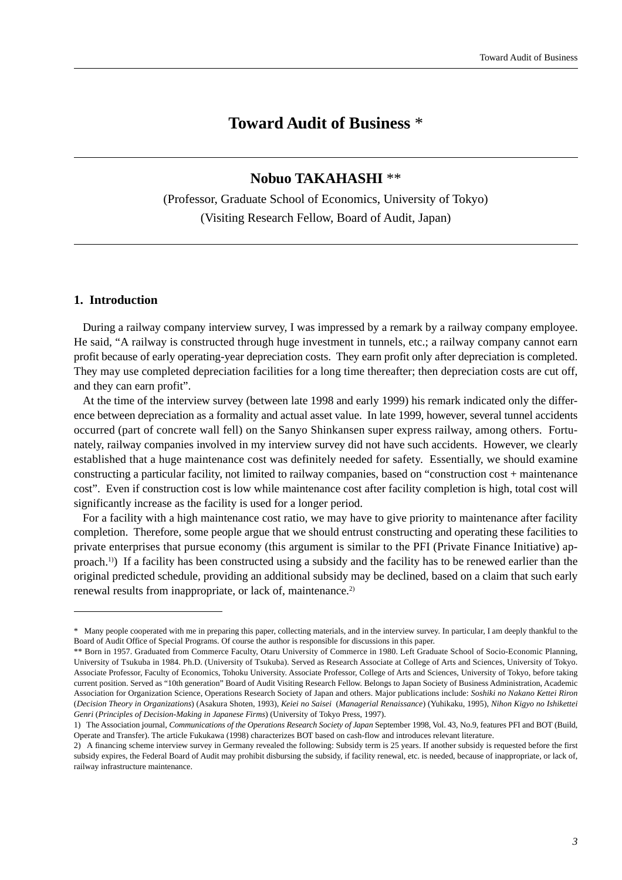# **Toward Audit of Business** \*

## **Nobuo TAKAHASHI** \*\*

(Professor, Graduate School of Economics, University of Tokyo) (Visiting Research Fellow, Board of Audit, Japan)

### **1. Introduction**

During a railway company interview survey, I was impressed by a remark by a railway company employee. He said, "A railway is constructed through huge investment in tunnels, etc.; a railway company cannot earn profit because of early operating-year depreciation costs. They earn profit only after depreciation is completed. They may use completed depreciation facilities for a long time thereafter; then depreciation costs are cut off, and they can earn profit".

At the time of the interview survey (between late 1998 and early 1999) his remark indicated only the difference between depreciation as a formality and actual asset value. In late 1999, however, several tunnel accidents occurred (part of concrete wall fell) on the Sanyo Shinkansen super express railway, among others. Fortunately, railway companies involved in my interview survey did not have such accidents. However, we clearly established that a huge maintenance cost was definitely needed for safety. Essentially, we should examine constructing a particular facility, not limited to railway companies, based on "construction cost + maintenance cost". Even if construction cost is low while maintenance cost after facility completion is high, total cost will significantly increase as the facility is used for a longer period.

For a facility with a high maintenance cost ratio, we may have to give priority to maintenance after facility completion. Therefore, some people argue that we should entrust constructing and operating these facilities to private enterprises that pursue economy (this argument is similar to the PFI (Private Finance Initiative) approach.1)) If a facility has been constructed using a subsidy and the facility has to be renewed earlier than the original predicted schedule, providing an additional subsidy may be declined, based on a claim that such early renewal results from inappropriate, or lack of, maintenance.<sup>2)</sup>

<sup>\*</sup> Many people cooperated with me in preparing this paper, collecting materials, and in the interview survey. In particular, I am deeply thankful to the Board of Audit Office of Special Programs. Of course the author is responsible for discussions in this paper.

<sup>\*\*</sup> Born in 1957. Graduated from Commerce Faculty, Otaru University of Commerce in 1980. Left Graduate School of Socio-Economic Planning, University of Tsukuba in 1984. Ph.D. (University of Tsukuba). Served as Research Associate at College of Arts and Sciences, University of Tokyo. Associate Professor, Faculty of Economics, Tohoku University. Associate Professor, College of Arts and Sciences, University of Tokyo, before taking current position. Served as "10th generation" Board of Audit Visiting Research Fellow. Belongs to Japan Society of Business Administration, Academic Association for Organization Science, Operations Research Society of Japan and others. Major publications include: *Soshiki no Nakano Kettei Riron* (*Decision Theory in Organizations*) (Asakura Shoten, 1993), *Keiei no Saisei* (*Managerial Renaissance*) (Yuhikaku, 1995), *Nihon Kigyo no Ishikettei Genri* (*Principles of Decision-Making in Japanese Firms*) (University of Tokyo Press, 1997).

<sup>1)</sup> The Association journal, *Communications of the Operations Research Society of Japan* September 1998, Vol. 43, No.9, features PFI and BOT (Build, Operate and Transfer). The article Fukukawa (1998) characterizes BOT based on cash-flow and introduces relevant literature.

<sup>2)</sup> A financing scheme interview survey in Germany revealed the following: Subsidy term is 25 years. If another subsidy is requested before the first subsidy expires, the Federal Board of Audit may prohibit disbursing the subsidy, if facility renewal, etc. is needed, because of inappropriate, or lack of, railway infrastructure maintenance.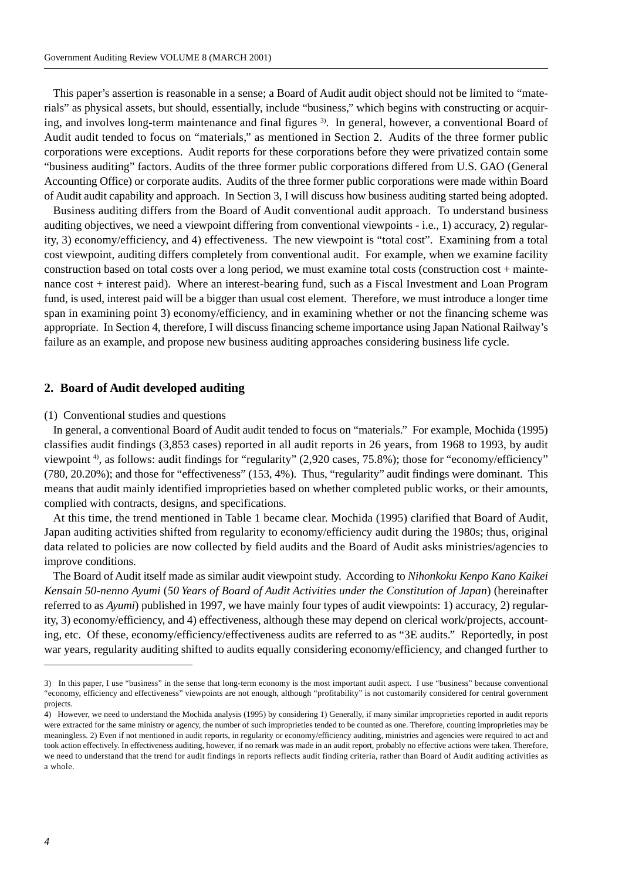This paper's assertion is reasonable in a sense; a Board of Audit audit object should not be limited to "materials" as physical assets, but should, essentially, include "business," which begins with constructing or acquiring, and involves long-term maintenance and final figures <sup>3)</sup>. In general, however, a conventional Board of Audit audit tended to focus on "materials," as mentioned in Section 2. Audits of the three former public corporations were exceptions. Audit reports for these corporations before they were privatized contain some "business auditing" factors. Audits of the three former public corporations differed from U.S. GAO (General Accounting Office) or corporate audits. Audits of the three former public corporations were made within Board of Audit audit capability and approach. In Section 3, I will discuss how business auditing started being adopted.

Business auditing differs from the Board of Audit conventional audit approach. To understand business auditing objectives, we need a viewpoint differing from conventional viewpoints - i.e., 1) accuracy, 2) regularity, 3) economy/efficiency, and 4) effectiveness. The new viewpoint is "total cost". Examining from a total cost viewpoint, auditing differs completely from conventional audit. For example, when we examine facility construction based on total costs over a long period, we must examine total costs (construction cost + maintenance cost + interest paid). Where an interest-bearing fund, such as a Fiscal Investment and Loan Program fund, is used, interest paid will be a bigger than usual cost element. Therefore, we must introduce a longer time span in examining point 3) economy/efficiency, and in examining whether or not the financing scheme was appropriate. In Section 4, therefore, I will discuss financing scheme importance using Japan National Railway's failure as an example, and propose new business auditing approaches considering business life cycle.

#### **2. Board of Audit developed auditing**

#### (1) Conventional studies and questions

In general, a conventional Board of Audit audit tended to focus on "materials." For example, Mochida (1995) classifies audit findings (3,853 cases) reported in all audit reports in 26 years, from 1968 to 1993, by audit viewpoint 4), as follows: audit findings for "regularity" (2,920 cases, 75.8%); those for "economy/efficiency" (780, 20.20%); and those for "effectiveness" (153, 4%). Thus, "regularity" audit findings were dominant. This means that audit mainly identified improprieties based on whether completed public works, or their amounts, complied with contracts, designs, and specifications.

At this time, the trend mentioned in Table 1 became clear. Mochida (1995) clarified that Board of Audit, Japan auditing activities shifted from regularity to economy/efficiency audit during the 1980s; thus, original data related to policies are now collected by field audits and the Board of Audit asks ministries/agencies to improve conditions.

The Board of Audit itself made as similar audit viewpoint study. According to *Nihonkoku Kenpo Kano Kaikei Kensain 50-nenno Ayumi* (*50 Years of Board of Audit Activities under the Constitution of Japan*) (hereinafter referred to as *Ayumi*) published in 1997, we have mainly four types of audit viewpoints: 1) accuracy, 2) regularity, 3) economy/efficiency, and 4) effectiveness, although these may depend on clerical work/projects, accounting, etc. Of these, economy/efficiency/effectiveness audits are referred to as "3E audits." Reportedly, in post war years, regularity auditing shifted to audits equally considering economy/efficiency, and changed further to

<sup>3)</sup> In this paper, I use "business" in the sense that long-term economy is the most important audit aspect. I use "business" because conventional "economy, efficiency and effectiveness" viewpoints are not enough, although "profitability" is not customarily considered for central government projects.

<sup>4)</sup> However, we need to understand the Mochida analysis (1995) by considering 1) Generally, if many similar improprieties reported in audit reports were extracted for the same ministry or agency, the number of such improprieties tended to be counted as one. Therefore, counting improprieties may be meaningless. 2) Even if not mentioned in audit reports, in regularity or economy/efficiency auditing, ministries and agencies were required to act and took action effectively. In effectiveness auditing, however, if no remark was made in an audit report, probably no effective actions were taken. Therefore, we need to understand that the trend for audit findings in reports reflects audit finding criteria, rather than Board of Audit auditing activities as a whole.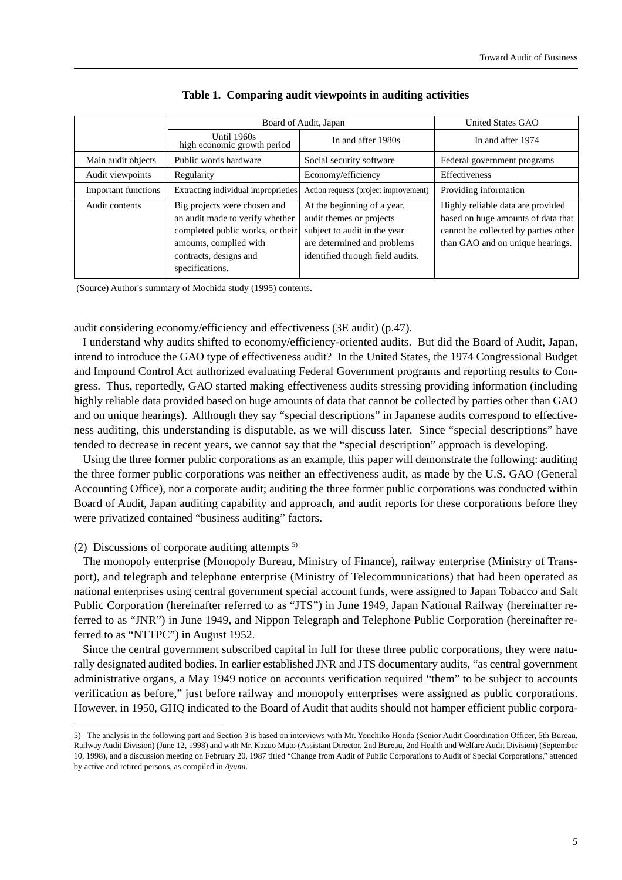|                            | Board of Audit, Japan                                                                                                                                                      |                                                                                                                                                            | <b>United States GAO</b>                                                                                                                            |
|----------------------------|----------------------------------------------------------------------------------------------------------------------------------------------------------------------------|------------------------------------------------------------------------------------------------------------------------------------------------------------|-----------------------------------------------------------------------------------------------------------------------------------------------------|
|                            | Until 1960s<br>high economic growth period                                                                                                                                 | In and after 1980s                                                                                                                                         | In and after 1974                                                                                                                                   |
| Main audit objects         | Public words hardware                                                                                                                                                      | Social security software                                                                                                                                   | Federal government programs                                                                                                                         |
| Audit viewpoints           | Regularity                                                                                                                                                                 | Economy/efficiency                                                                                                                                         | Effectiveness                                                                                                                                       |
| <b>Important functions</b> | Extracting individual improprieties                                                                                                                                        | Action requests (project improvement)                                                                                                                      | Providing information                                                                                                                               |
| Audit contents             | Big projects were chosen and<br>an audit made to verify whether<br>completed public works, or their<br>amounts, complied with<br>contracts, designs and<br>specifications. | At the beginning of a year,<br>audit themes or projects<br>subject to audit in the year<br>are determined and problems<br>identified through field audits. | Highly reliable data are provided<br>based on huge amounts of data that<br>cannot be collected by parties other<br>than GAO and on unique hearings. |

#### **Table 1. Comparing audit viewpoints in auditing activities**

(Source) Author's summary of Mochida study (1995) contents.

audit considering economy/efficiency and effectiveness (3E audit) (p.47).

I understand why audits shifted to economy/efficiency-oriented audits. But did the Board of Audit, Japan, intend to introduce the GAO type of effectiveness audit? In the United States, the 1974 Congressional Budget and Impound Control Act authorized evaluating Federal Government programs and reporting results to Congress. Thus, reportedly, GAO started making effectiveness audits stressing providing information (including highly reliable data provided based on huge amounts of data that cannot be collected by parties other than GAO and on unique hearings). Although they say "special descriptions" in Japanese audits correspond to effectiveness auditing, this understanding is disputable, as we will discuss later. Since "special descriptions" have tended to decrease in recent years, we cannot say that the "special description" approach is developing.

Using the three former public corporations as an example, this paper will demonstrate the following: auditing the three former public corporations was neither an effectiveness audit, as made by the U.S. GAO (General Accounting Office), nor a corporate audit; auditing the three former public corporations was conducted within Board of Audit, Japan auditing capability and approach, and audit reports for these corporations before they were privatized contained "business auditing" factors.

#### (2) Discussions of corporate auditing attempts  $5$

The monopoly enterprise (Monopoly Bureau, Ministry of Finance), railway enterprise (Ministry of Transport), and telegraph and telephone enterprise (Ministry of Telecommunications) that had been operated as national enterprises using central government special account funds, were assigned to Japan Tobacco and Salt Public Corporation (hereinafter referred to as "JTS") in June 1949, Japan National Railway (hereinafter referred to as "JNR") in June 1949, and Nippon Telegraph and Telephone Public Corporation (hereinafter referred to as "NTTPC") in August 1952.

Since the central government subscribed capital in full for these three public corporations, they were naturally designated audited bodies. In earlier established JNR and JTS documentary audits, "as central government administrative organs, a May 1949 notice on accounts verification required "them" to be subject to accounts verification as before," just before railway and monopoly enterprises were assigned as public corporations. However, in 1950, GHQ indicated to the Board of Audit that audits should not hamper efficient public corpora-

<sup>5)</sup> The analysis in the following part and Section 3 is based on interviews with Mr. Yonehiko Honda (Senior Audit Coordination Officer, 5th Bureau, Railway Audit Division) (June 12, 1998) and with Mr. Kazuo Muto (Assistant Director, 2nd Bureau, 2nd Health and Welfare Audit Division) (September 10, 1998), and a discussion meeting on February 20, 1987 titled "Change from Audit of Public Corporations to Audit of Special Corporations," attended by active and retired persons, as compiled in *Ayumi*.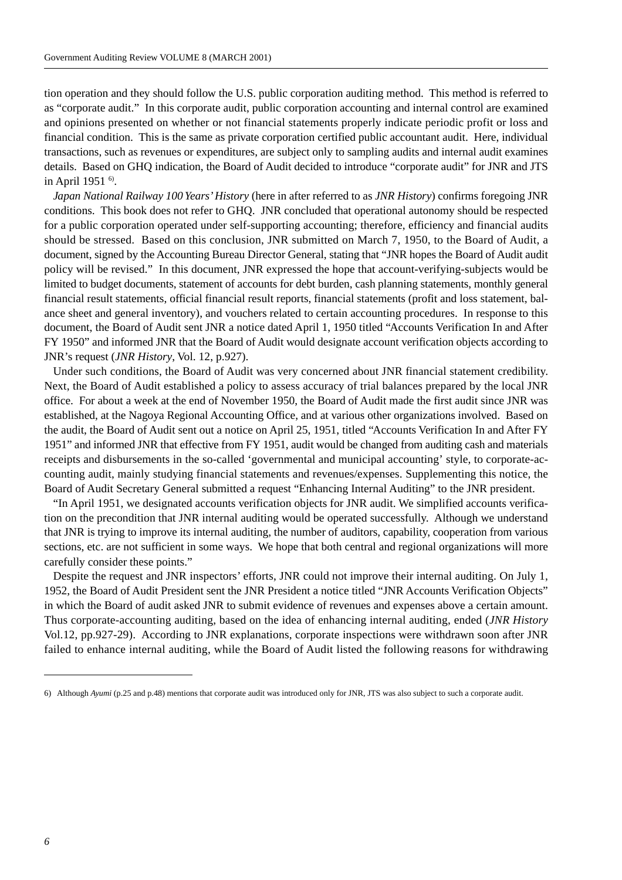tion operation and they should follow the U.S. public corporation auditing method. This method is referred to as "corporate audit." In this corporate audit, public corporation accounting and internal control are examined and opinions presented on whether or not financial statements properly indicate periodic profit or loss and financial condition. This is the same as private corporation certified public accountant audit. Here, individual transactions, such as revenues or expenditures, are subject only to sampling audits and internal audit examines details. Based on GHQ indication, the Board of Audit decided to introduce "corporate audit" for JNR and JTS in April 1951 6).

*Japan National Railway 100 Years' History* (here in after referred to as *JNR History*) confirms foregoing JNR conditions. This book does not refer to GHQ. JNR concluded that operational autonomy should be respected for a public corporation operated under self-supporting accounting; therefore, efficiency and financial audits should be stressed. Based on this conclusion, JNR submitted on March 7, 1950, to the Board of Audit, a document, signed by the Accounting Bureau Director General, stating that "JNR hopes the Board of Audit audit policy will be revised." In this document, JNR expressed the hope that account-verifying-subjects would be limited to budget documents, statement of accounts for debt burden, cash planning statements, monthly general financial result statements, official financial result reports, financial statements (profit and loss statement, balance sheet and general inventory), and vouchers related to certain accounting procedures. In response to this document, the Board of Audit sent JNR a notice dated April 1, 1950 titled "Accounts Verification In and After FY 1950" and informed JNR that the Board of Audit would designate account verification objects according to JNR's request (*JNR History*, Vol. 12, p.927).

Under such conditions, the Board of Audit was very concerned about JNR financial statement credibility. Next, the Board of Audit established a policy to assess accuracy of trial balances prepared by the local JNR office. For about a week at the end of November 1950, the Board of Audit made the first audit since JNR was established, at the Nagoya Regional Accounting Office, and at various other organizations involved. Based on the audit, the Board of Audit sent out a notice on April 25, 1951, titled "Accounts Verification In and After FY 1951" and informed JNR that effective from FY 1951, audit would be changed from auditing cash and materials receipts and disbursements in the so-called 'governmental and municipal accounting' style, to corporate-accounting audit, mainly studying financial statements and revenues/expenses. Supplementing this notice, the Board of Audit Secretary General submitted a request "Enhancing Internal Auditing" to the JNR president.

"In April 1951, we designated accounts verification objects for JNR audit. We simplified accounts verification on the precondition that JNR internal auditing would be operated successfully. Although we understand that JNR is trying to improve its internal auditing, the number of auditors, capability, cooperation from various sections, etc. are not sufficient in some ways. We hope that both central and regional organizations will more carefully consider these points."

Despite the request and JNR inspectors' efforts, JNR could not improve their internal auditing. On July 1, 1952, the Board of Audit President sent the JNR President a notice titled "JNR Accounts Verification Objects" in which the Board of audit asked JNR to submit evidence of revenues and expenses above a certain amount. Thus corporate-accounting auditing, based on the idea of enhancing internal auditing, ended (*JNR History* Vol.12, pp.927-29). According to JNR explanations, corporate inspections were withdrawn soon after JNR failed to enhance internal auditing, while the Board of Audit listed the following reasons for withdrawing

<sup>6)</sup> Although *Ayumi* (p.25 and p.48) mentions that corporate audit was introduced only for JNR, JTS was also subject to such a corporate audit.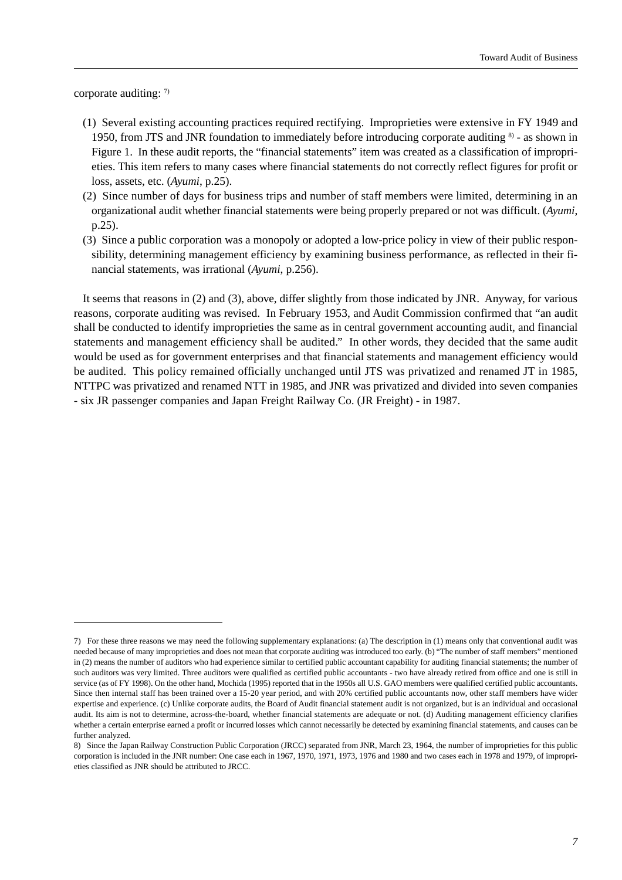corporate auditing:  $7$ 

- (1) Several existing accounting practices required rectifying. Improprieties were extensive in FY 1949 and 1950, from JTS and JNR foundation to immediately before introducing corporate auditing 8) - as shown in Figure 1. In these audit reports, the "financial statements" item was created as a classification of improprieties. This item refers to many cases where financial statements do not correctly reflect figures for profit or loss, assets, etc. (*Ayumi*, p.25).
- (2) Since number of days for business trips and number of staff members were limited, determining in an organizational audit whether financial statements were being properly prepared or not was difficult. (*Ayumi*, p.25).
- (3) Since a public corporation was a monopoly or adopted a low-price policy in view of their public responsibility, determining management efficiency by examining business performance, as reflected in their financial statements, was irrational (*Ayumi*, p.256).

It seems that reasons in (2) and (3), above, differ slightly from those indicated by JNR. Anyway, for various reasons, corporate auditing was revised. In February 1953, and Audit Commission confirmed that "an audit shall be conducted to identify improprieties the same as in central government accounting audit, and financial statements and management efficiency shall be audited." In other words, they decided that the same audit would be used as for government enterprises and that financial statements and management efficiency would be audited. This policy remained officially unchanged until JTS was privatized and renamed JT in 1985, NTTPC was privatized and renamed NTT in 1985, and JNR was privatized and divided into seven companies - six JR passenger companies and Japan Freight Railway Co. (JR Freight) - in 1987.

<sup>7)</sup> For these three reasons we may need the following supplementary explanations: (a) The description in (1) means only that conventional audit was needed because of many improprieties and does not mean that corporate auditing was introduced too early. (b) "The number of staff members" mentioned in (2) means the number of auditors who had experience similar to certified public accountant capability for auditing financial statements; the number of such auditors was very limited. Three auditors were qualified as certified public accountants - two have already retired from office and one is still in service (as of FY 1998). On the other hand, Mochida (1995) reported that in the 1950s all U.S. GAO members were qualified certified public accountants. Since then internal staff has been trained over a 15-20 year period, and with 20% certified public accountants now, other staff members have wider expertise and experience. (c) Unlike corporate audits, the Board of Audit financial statement audit is not organized, but is an individual and occasional audit. Its aim is not to determine, across-the-board, whether financial statements are adequate or not. (d) Auditing management efficiency clarifies whether a certain enterprise earned a profit or incurred losses which cannot necessarily be detected by examining financial statements, and causes can be further analyzed.

<sup>8)</sup> Since the Japan Railway Construction Public Corporation (JRCC) separated from JNR, March 23, 1964, the number of improprieties for this public corporation is included in the JNR number: One case each in 1967, 1970, 1971, 1973, 1976 and 1980 and two cases each in 1978 and 1979, of improprieties classified as JNR should be attributed to JRCC.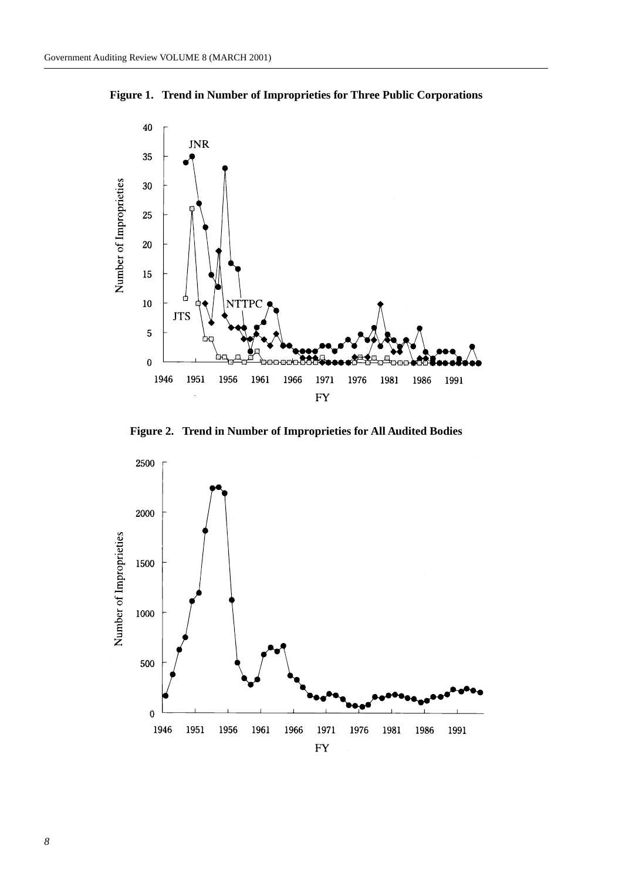



**Figure 2. Trend in Number of Improprieties for All Audited Bodies**

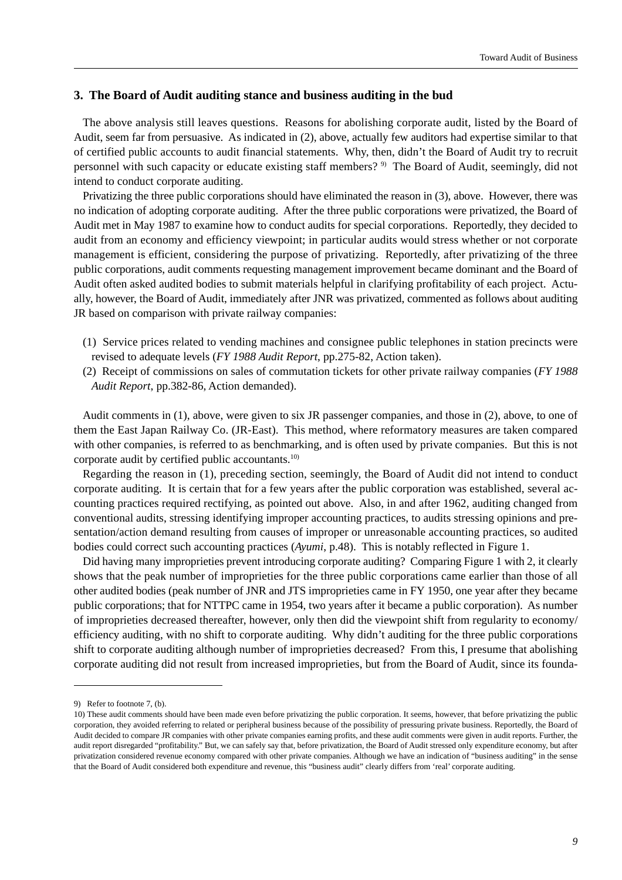## **3. The Board of Audit auditing stance and business auditing in the bud**

The above analysis still leaves questions. Reasons for abolishing corporate audit, listed by the Board of Audit, seem far from persuasive. As indicated in (2), above, actually few auditors had expertise similar to that of certified public accounts to audit financial statements. Why, then, didn't the Board of Audit try to recruit personnel with such capacity or educate existing staff members? 9) The Board of Audit, seemingly, did not intend to conduct corporate auditing.

Privatizing the three public corporations should have eliminated the reason in (3), above. However, there was no indication of adopting corporate auditing. After the three public corporations were privatized, the Board of Audit met in May 1987 to examine how to conduct audits for special corporations. Reportedly, they decided to audit from an economy and efficiency viewpoint; in particular audits would stress whether or not corporate management is efficient, considering the purpose of privatizing. Reportedly, after privatizing of the three public corporations, audit comments requesting management improvement became dominant and the Board of Audit often asked audited bodies to submit materials helpful in clarifying profitability of each project. Actually, however, the Board of Audit, immediately after JNR was privatized, commented as follows about auditing JR based on comparison with private railway companies:

- (1) Service prices related to vending machines and consignee public telephones in station precincts were revised to adequate levels (*FY 1988 Audit Report*, pp.275-82, Action taken).
- (2) Receipt of commissions on sales of commutation tickets for other private railway companies (*FY 1988 Audit Report*, pp.382-86, Action demanded).

Audit comments in (1), above, were given to six JR passenger companies, and those in (2), above, to one of them the East Japan Railway Co. (JR-East). This method, where reformatory measures are taken compared with other companies, is referred to as benchmarking, and is often used by private companies. But this is not corporate audit by certified public accountants.<sup>10)</sup>

Regarding the reason in (1), preceding section, seemingly, the Board of Audit did not intend to conduct corporate auditing. It is certain that for a few years after the public corporation was established, several accounting practices required rectifying, as pointed out above. Also, in and after 1962, auditing changed from conventional audits, stressing identifying improper accounting practices, to audits stressing opinions and presentation/action demand resulting from causes of improper or unreasonable accounting practices, so audited bodies could correct such accounting practices (*Ayumi*, p.48). This is notably reflected in Figure 1.

Did having many improprieties prevent introducing corporate auditing? Comparing Figure 1 with 2, it clearly shows that the peak number of improprieties for the three public corporations came earlier than those of all other audited bodies (peak number of JNR and JTS improprieties came in FY 1950, one year after they became public corporations; that for NTTPC came in 1954, two years after it became a public corporation). As number of improprieties decreased thereafter, however, only then did the viewpoint shift from regularity to economy/ efficiency auditing, with no shift to corporate auditing. Why didn't auditing for the three public corporations shift to corporate auditing although number of improprieties decreased? From this, I presume that abolishing corporate auditing did not result from increased improprieties, but from the Board of Audit, since its founda-

<sup>9)</sup> Refer to footnote 7, (b).

<sup>10)</sup> These audit comments should have been made even before privatizing the public corporation. It seems, however, that before privatizing the public corporation, they avoided referring to related or peripheral business because of the possibility of pressuring private business. Reportedly, the Board of Audit decided to compare JR companies with other private companies earning profits, and these audit comments were given in audit reports. Further, the audit report disregarded "profitability." But, we can safely say that, before privatization, the Board of Audit stressed only expenditure economy, but after privatization considered revenue economy compared with other private companies. Although we have an indication of "business auditing" in the sense that the Board of Audit considered both expenditure and revenue, this "business audit" clearly differs from 'real' corporate auditing.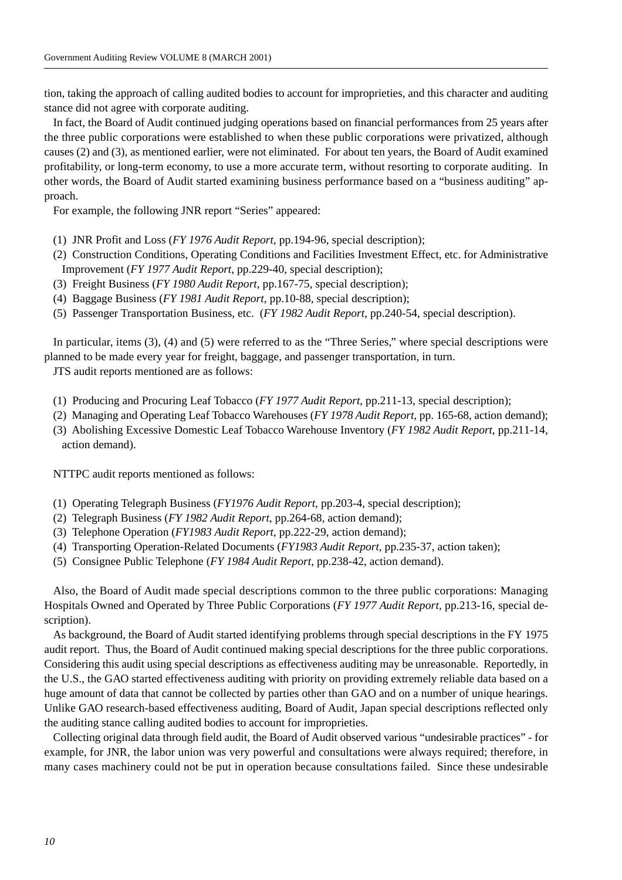tion, taking the approach of calling audited bodies to account for improprieties, and this character and auditing stance did not agree with corporate auditing.

In fact, the Board of Audit continued judging operations based on financial performances from 25 years after the three public corporations were established to when these public corporations were privatized, although causes (2) and (3), as mentioned earlier, were not eliminated. For about ten years, the Board of Audit examined profitability, or long-term economy, to use a more accurate term, without resorting to corporate auditing. In other words, the Board of Audit started examining business performance based on a "business auditing" approach.

For example, the following JNR report "Series" appeared:

- (1) JNR Profit and Loss (*FY 1976 Audit Report*, pp.194-96, special description);
- (2) Construction Conditions, Operating Conditions and Facilities Investment Effect, etc. for Administrative Improvement (*FY 1977 Audit Report*, pp.229-40, special description);
- (3) Freight Business (*FY 1980 Audit Report*, pp.167-75, special description);
- (4) Baggage Business (*FY 1981 Audit Report*, pp.10-88, special description);
- (5) Passenger Transportation Business, etc. (*FY 1982 Audit Report*, pp.240-54, special description).

In particular, items (3), (4) and (5) were referred to as the "Three Series," where special descriptions were planned to be made every year for freight, baggage, and passenger transportation, in turn.

JTS audit reports mentioned are as follows:

- (1) Producing and Procuring Leaf Tobacco (*FY 1977 Audit Report*, pp.211-13, special description);
- (2) Managing and Operating Leaf Tobacco Warehouses (*FY 1978 Audit Report*, pp. 165-68, action demand);
- (3) Abolishing Excessive Domestic Leaf Tobacco Warehouse Inventory (*FY 1982 Audit Report*, pp.211-14, action demand).

NTTPC audit reports mentioned as follows:

- (1) Operating Telegraph Business (*FY1976 Audit Report*, pp.203-4, special description);
- (2) Telegraph Business (*FY 1982 Audit Report*, pp.264-68, action demand);
- (3) Telephone Operation (*FY1983 Audit Report*, pp.222-29, action demand);
- (4) Transporting Operation-Related Documents (*FY1983 Audit Report*, pp.235-37, action taken);
- (5) Consignee Public Telephone (*FY 1984 Audit Report*, pp.238-42, action demand).

Also, the Board of Audit made special descriptions common to the three public corporations: Managing Hospitals Owned and Operated by Three Public Corporations (*FY 1977 Audit Report*, pp.213-16, special description).

As background, the Board of Audit started identifying problems through special descriptions in the FY 1975 audit report. Thus, the Board of Audit continued making special descriptions for the three public corporations. Considering this audit using special descriptions as effectiveness auditing may be unreasonable. Reportedly, in the U.S., the GAO started effectiveness auditing with priority on providing extremely reliable data based on a huge amount of data that cannot be collected by parties other than GAO and on a number of unique hearings. Unlike GAO research-based effectiveness auditing, Board of Audit, Japan special descriptions reflected only the auditing stance calling audited bodies to account for improprieties.

Collecting original data through field audit, the Board of Audit observed various "undesirable practices" - for example, for JNR, the labor union was very powerful and consultations were always required; therefore, in many cases machinery could not be put in operation because consultations failed. Since these undesirable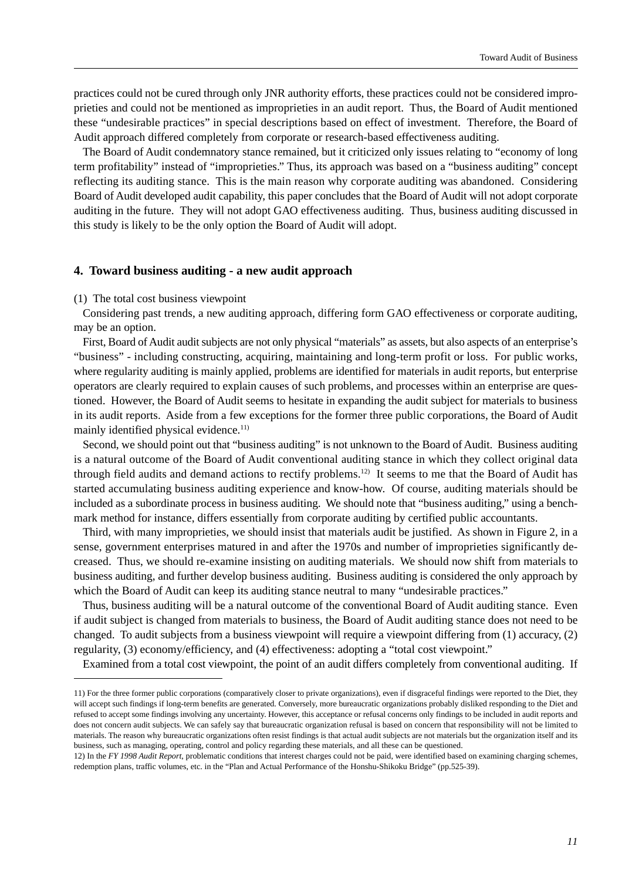practices could not be cured through only JNR authority efforts, these practices could not be considered improprieties and could not be mentioned as improprieties in an audit report. Thus, the Board of Audit mentioned these "undesirable practices" in special descriptions based on effect of investment. Therefore, the Board of Audit approach differed completely from corporate or research-based effectiveness auditing.

The Board of Audit condemnatory stance remained, but it criticized only issues relating to "economy of long term profitability" instead of "improprieties." Thus, its approach was based on a "business auditing" concept reflecting its auditing stance. This is the main reason why corporate auditing was abandoned. Considering Board of Audit developed audit capability, this paper concludes that the Board of Audit will not adopt corporate auditing in the future. They will not adopt GAO effectiveness auditing. Thus, business auditing discussed in this study is likely to be the only option the Board of Audit will adopt.

#### **4. Toward business auditing - a new audit approach**

#### (1) The total cost business viewpoint

Considering past trends, a new auditing approach, differing form GAO effectiveness or corporate auditing, may be an option.

First, Board of Audit audit subjects are not only physical "materials" as assets, but also aspects of an enterprise's "business" - including constructing, acquiring, maintaining and long-term profit or loss. For public works, where regularity auditing is mainly applied, problems are identified for materials in audit reports, but enterprise operators are clearly required to explain causes of such problems, and processes within an enterprise are questioned. However, the Board of Audit seems to hesitate in expanding the audit subject for materials to business in its audit reports. Aside from a few exceptions for the former three public corporations, the Board of Audit mainly identified physical evidence.<sup>11)</sup>

Second, we should point out that "business auditing" is not unknown to the Board of Audit. Business auditing is a natural outcome of the Board of Audit conventional auditing stance in which they collect original data through field audits and demand actions to rectify problems.<sup>12)</sup> It seems to me that the Board of Audit has started accumulating business auditing experience and know-how. Of course, auditing materials should be included as a subordinate process in business auditing. We should note that "business auditing," using a benchmark method for instance, differs essentially from corporate auditing by certified public accountants.

Third, with many improprieties, we should insist that materials audit be justified. As shown in Figure 2, in a sense, government enterprises matured in and after the 1970s and number of improprieties significantly decreased. Thus, we should re-examine insisting on auditing materials. We should now shift from materials to business auditing, and further develop business auditing. Business auditing is considered the only approach by which the Board of Audit can keep its auditing stance neutral to many "undesirable practices."

Thus, business auditing will be a natural outcome of the conventional Board of Audit auditing stance. Even if audit subject is changed from materials to business, the Board of Audit auditing stance does not need to be changed. To audit subjects from a business viewpoint will require a viewpoint differing from (1) accuracy, (2) regularity, (3) economy/efficiency, and (4) effectiveness: adopting a "total cost viewpoint."

Examined from a total cost viewpoint, the point of an audit differs completely from conventional auditing. If

<sup>11)</sup> For the three former public corporations (comparatively closer to private organizations), even if disgraceful findings were reported to the Diet, they will accept such findings if long-term benefits are generated. Conversely, more bureaucratic organizations probably disliked responding to the Diet and refused to accept some findings involving any uncertainty. However, this acceptance or refusal concerns only findings to be included in audit reports and does not concern audit subjects. We can safely say that bureaucratic organization refusal is based on concern that responsibility will not be limited to materials. The reason why bureaucratic organizations often resist findings is that actual audit subjects are not materials but the organization itself and its business, such as managing, operating, control and policy regarding these materials, and all these can be questioned.

<sup>12)</sup> In the *FY 1998 Audit Report*, problematic conditions that interest charges could not be paid, were identified based on examining charging schemes, redemption plans, traffic volumes, etc. in the "Plan and Actual Performance of the Honshu-Shikoku Bridge" (pp.525-39).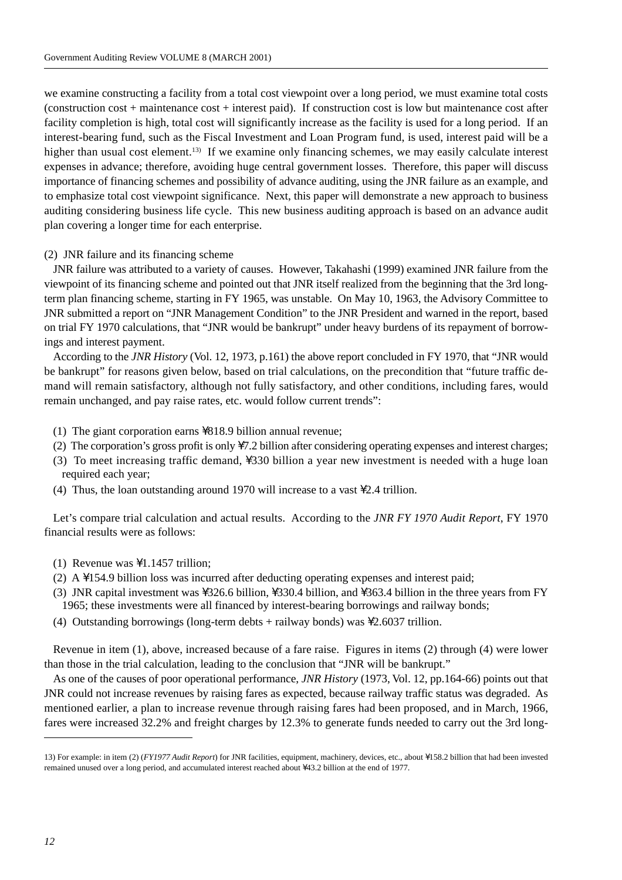we examine constructing a facility from a total cost viewpoint over a long period, we must examine total costs (construction cost + maintenance cost + interest paid). If construction cost is low but maintenance cost after facility completion is high, total cost will significantly increase as the facility is used for a long period. If an interest-bearing fund, such as the Fiscal Investment and Loan Program fund, is used, interest paid will be a higher than usual cost element.<sup>13)</sup> If we examine only financing schemes, we may easily calculate interest expenses in advance; therefore, avoiding huge central government losses. Therefore, this paper will discuss importance of financing schemes and possibility of advance auditing, using the JNR failure as an example, and to emphasize total cost viewpoint significance. Next, this paper will demonstrate a new approach to business auditing considering business life cycle. This new business auditing approach is based on an advance audit plan covering a longer time for each enterprise.

#### (2) JNR failure and its financing scheme

JNR failure was attributed to a variety of causes. However, Takahashi (1999) examined JNR failure from the viewpoint of its financing scheme and pointed out that JNR itself realized from the beginning that the 3rd longterm plan financing scheme, starting in FY 1965, was unstable. On May 10, 1963, the Advisory Committee to JNR submitted a report on "JNR Management Condition" to the JNR President and warned in the report, based on trial FY 1970 calculations, that "JNR would be bankrupt" under heavy burdens of its repayment of borrowings and interest payment.

According to the *JNR History* (Vol. 12, 1973, p.161) the above report concluded in FY 1970, that "JNR would be bankrupt" for reasons given below, based on trial calculations, on the precondition that "future traffic demand will remain satisfactory, although not fully satisfactory, and other conditions, including fares, would remain unchanged, and pay raise rates, etc. would follow current trends":

- (1) The giant corporation earns  $\818.9$  billion annual revenue;
- (2) The corporation's gross profit is only  $\setminus 7.2$  billion after considering operating expenses and interest charges;
- (3) To meet increasing traffic demand,  $\sqrt{330}$  billion a year new investment is needed with a huge loan required each year;
- (4) Thus, the loan outstanding around 1970 will increase to a vast  $\lambda$ 2.4 trillion.

Let's compare trial calculation and actual results. According to the *JNR FY 1970 Audit Report*, FY 1970 financial results were as follows:

- (1) Revenue was  $\setminus$ 1.1457 trillion;
- (2) A  $\154.9$  billion loss was incurred after deducting operating expenses and interest paid;
- (3) JNR capital investment was  $\frac{326.6 \text{ billion}}{330.4 \text{ billion}}$ , and  $\frac{363.4 \text{ billion}}{363.4 \text{ billion}}$  in the three years from FY 1965; these investments were all financed by interest-bearing borrowings and railway bonds;
- (4) Outstanding borrowings (long-term debts + railway bonds) was  $\geq 2.6037$  trillion.

Revenue in item (1), above, increased because of a fare raise. Figures in items (2) through (4) were lower than those in the trial calculation, leading to the conclusion that "JNR will be bankrupt."

As one of the causes of poor operational performance, *JNR History* (1973, Vol. 12, pp.164-66) points out that JNR could not increase revenues by raising fares as expected, because railway traffic status was degraded. As mentioned earlier, a plan to increase revenue through raising fares had been proposed, and in March, 1966, fares were increased 32.2% and freight charges by 12.3% to generate funds needed to carry out the 3rd long-

<sup>13)</sup> For example: in item (2) (*FY1977 Audit Report*) for JNR facilities, equipment, machinery, devices, etc., about \158.2 billion that had been invested remained unused over a long period, and accumulated interest reached about ¥43.2 billion at the end of 1977.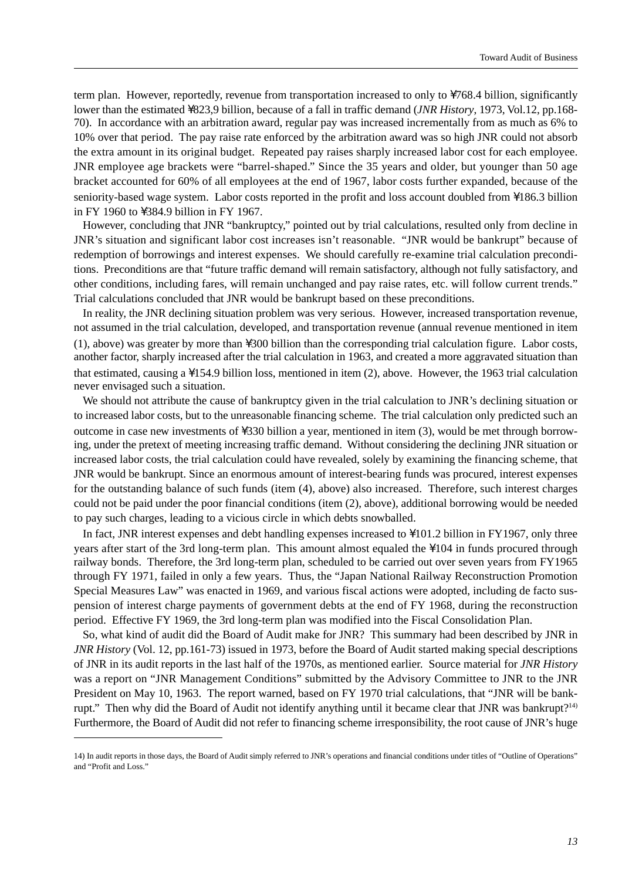term plan. However, reportedly, revenue from transportation increased to only to  $\sqrt{768.4}$  billion, significantly lower than the estimated \823,9 billion, because of a fall in traffic demand (*JNR History*, 1973, Vol.12, pp.168-70). In accordance with an arbitration award, regular pay was increased incrementally from as much as 6% to 10% over that period. The pay raise rate enforced by the arbitration award was so high JNR could not absorb the extra amount in its original budget. Repeated pay raises sharply increased labor cost for each employee. JNR employee age brackets were "barrel-shaped." Since the 35 years and older, but younger than 50 age bracket accounted for 60% of all employees at the end of 1967, labor costs further expanded, because of the seniority-based wage system. Labor costs reported in the profit and loss account doubled from \186.3 billion in FY 1960 to  $\lambda$ 384.9 billion in FY 1967.

However, concluding that JNR "bankruptcy," pointed out by trial calculations, resulted only from decline in JNR's situation and significant labor cost increases isn't reasonable. "JNR would be bankrupt" because of redemption of borrowings and interest expenses. We should carefully re-examine trial calculation preconditions. Preconditions are that "future traffic demand will remain satisfactory, although not fully satisfactory, and other conditions, including fares, will remain unchanged and pay raise rates, etc. will follow current trends." Trial calculations concluded that JNR would be bankrupt based on these preconditions.

In reality, the JNR declining situation problem was very serious. However, increased transportation revenue, not assumed in the trial calculation, developed, and transportation revenue (annual revenue mentioned in item  $(1)$ , above) was greater by more than  $\setminus 300$  billion than the corresponding trial calculation figure. Labor costs, another factor, sharply increased after the trial calculation in 1963, and created a more aggravated situation than that estimated, causing a  $\154.9$  billion loss, mentioned in item (2), above. However, the 1963 trial calculation never envisaged such a situation.

We should not attribute the cause of bankruptcy given in the trial calculation to JNR's declining situation or to increased labor costs, but to the unreasonable financing scheme. The trial calculation only predicted such an outcome in case new investments of  $\frac{330 \text{ billion}}{3}$  billion a year, mentioned in item (3), would be met through borrowing, under the pretext of meeting increasing traffic demand. Without considering the declining JNR situation or increased labor costs, the trial calculation could have revealed, solely by examining the financing scheme, that JNR would be bankrupt. Since an enormous amount of interest-bearing funds was procured, interest expenses for the outstanding balance of such funds (item (4), above) also increased. Therefore, such interest charges could not be paid under the poor financial conditions (item (2), above), additional borrowing would be needed to pay such charges, leading to a vicious circle in which debts snowballed.

In fact, JNR interest expenses and debt handling expenses increased to  $\101.2$  billion in FY1967, only three years after start of the 3rd long-term plan. This amount almost equaled the  $\104$  in funds procured through railway bonds. Therefore, the 3rd long-term plan, scheduled to be carried out over seven years from FY1965 through FY 1971, failed in only a few years. Thus, the "Japan National Railway Reconstruction Promotion Special Measures Law" was enacted in 1969, and various fiscal actions were adopted, including de facto suspension of interest charge payments of government debts at the end of FY 1968, during the reconstruction period. Effective FY 1969, the 3rd long-term plan was modified into the Fiscal Consolidation Plan.

So, what kind of audit did the Board of Audit make for JNR? This summary had been described by JNR in *JNR History* (Vol. 12, pp.161-73) issued in 1973, before the Board of Audit started making special descriptions of JNR in its audit reports in the last half of the 1970s, as mentioned earlier. Source material for *JNR History* was a report on "JNR Management Conditions" submitted by the Advisory Committee to JNR to the JNR President on May 10, 1963. The report warned, based on FY 1970 trial calculations, that "JNR will be bankrupt." Then why did the Board of Audit not identify anything until it became clear that JNR was bankrupt?14) Furthermore, the Board of Audit did not refer to financing scheme irresponsibility, the root cause of JNR's huge

<sup>14)</sup> In audit reports in those days, the Board of Audit simply referred to JNR's operations and financial conditions under titles of "Outline of Operations" and "Profit and Loss."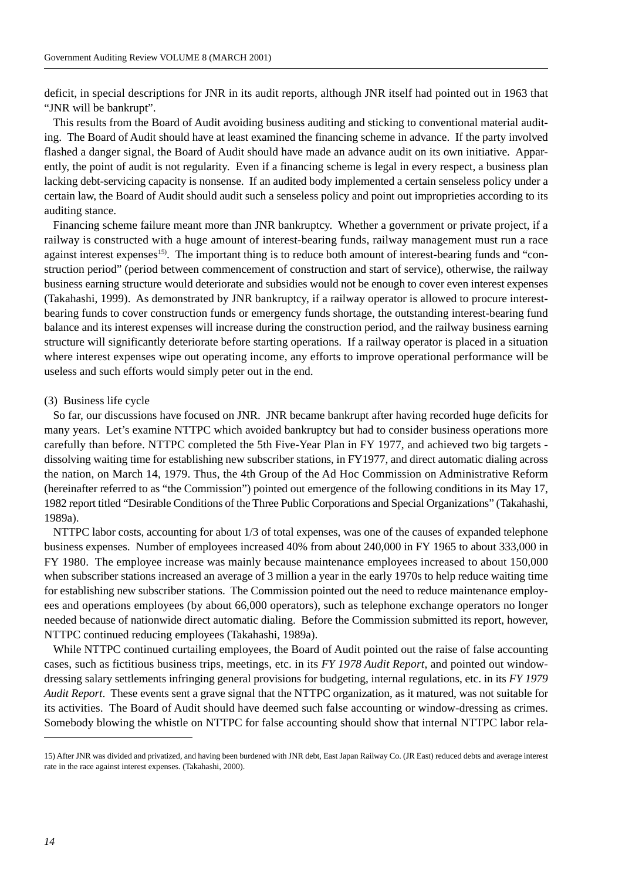deficit, in special descriptions for JNR in its audit reports, although JNR itself had pointed out in 1963 that "JNR will be bankrupt".

This results from the Board of Audit avoiding business auditing and sticking to conventional material auditing. The Board of Audit should have at least examined the financing scheme in advance. If the party involved flashed a danger signal, the Board of Audit should have made an advance audit on its own initiative. Apparently, the point of audit is not regularity. Even if a financing scheme is legal in every respect, a business plan lacking debt-servicing capacity is nonsense. If an audited body implemented a certain senseless policy under a certain law, the Board of Audit should audit such a senseless policy and point out improprieties according to its auditing stance.

Financing scheme failure meant more than JNR bankruptcy. Whether a government or private project, if a railway is constructed with a huge amount of interest-bearing funds, railway management must run a race against interest expenses<sup>15</sup>. The important thing is to reduce both amount of interest-bearing funds and "construction period" (period between commencement of construction and start of service), otherwise, the railway business earning structure would deteriorate and subsidies would not be enough to cover even interest expenses (Takahashi, 1999). As demonstrated by JNR bankruptcy, if a railway operator is allowed to procure interestbearing funds to cover construction funds or emergency funds shortage, the outstanding interest-bearing fund balance and its interest expenses will increase during the construction period, and the railway business earning structure will significantly deteriorate before starting operations. If a railway operator is placed in a situation where interest expenses wipe out operating income, any efforts to improve operational performance will be useless and such efforts would simply peter out in the end.

#### (3) Business life cycle

So far, our discussions have focused on JNR. JNR became bankrupt after having recorded huge deficits for many years. Let's examine NTTPC which avoided bankruptcy but had to consider business operations more carefully than before. NTTPC completed the 5th Five-Year Plan in FY 1977, and achieved two big targets dissolving waiting time for establishing new subscriber stations, in FY1977, and direct automatic dialing across the nation, on March 14, 1979. Thus, the 4th Group of the Ad Hoc Commission on Administrative Reform (hereinafter referred to as "the Commission") pointed out emergence of the following conditions in its May 17, 1982 report titled "Desirable Conditions of the Three Public Corporations and Special Organizations" (Takahashi, 1989a).

NTTPC labor costs, accounting for about 1/3 of total expenses, was one of the causes of expanded telephone business expenses. Number of employees increased 40% from about 240,000 in FY 1965 to about 333,000 in FY 1980. The employee increase was mainly because maintenance employees increased to about 150,000 when subscriber stations increased an average of 3 million a year in the early 1970s to help reduce waiting time for establishing new subscriber stations. The Commission pointed out the need to reduce maintenance employees and operations employees (by about 66,000 operators), such as telephone exchange operators no longer needed because of nationwide direct automatic dialing. Before the Commission submitted its report, however, NTTPC continued reducing employees (Takahashi, 1989a).

While NTTPC continued curtailing employees, the Board of Audit pointed out the raise of false accounting cases, such as fictitious business trips, meetings, etc. in its *FY 1978 Audit Report*, and pointed out windowdressing salary settlements infringing general provisions for budgeting, internal regulations, etc. in its *FY 1979 Audit Report*. These events sent a grave signal that the NTTPC organization, as it matured, was not suitable for its activities. The Board of Audit should have deemed such false accounting or window-dressing as crimes. Somebody blowing the whistle on NTTPC for false accounting should show that internal NTTPC labor rela-

<sup>15)</sup> After JNR was divided and privatized, and having been burdened with JNR debt, East Japan Railway Co. (JR East) reduced debts and average interest rate in the race against interest expenses. (Takahashi, 2000).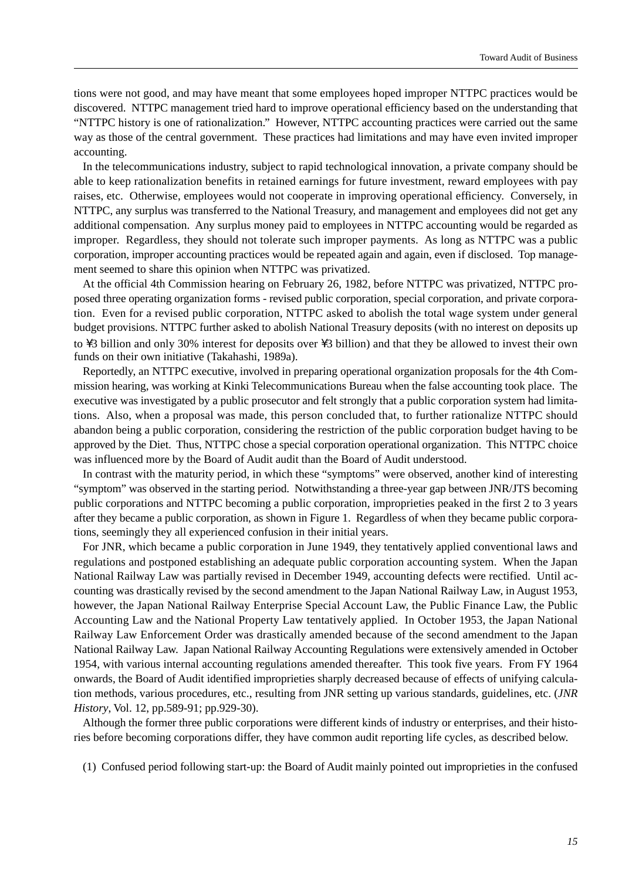tions were not good, and may have meant that some employees hoped improper NTTPC practices would be discovered. NTTPC management tried hard to improve operational efficiency based on the understanding that "NTTPC history is one of rationalization." However, NTTPC accounting practices were carried out the same way as those of the central government. These practices had limitations and may have even invited improper accounting.

In the telecommunications industry, subject to rapid technological innovation, a private company should be able to keep rationalization benefits in retained earnings for future investment, reward employees with pay raises, etc. Otherwise, employees would not cooperate in improving operational efficiency. Conversely, in NTTPC, any surplus was transferred to the National Treasury, and management and employees did not get any additional compensation. Any surplus money paid to employees in NTTPC accounting would be regarded as improper. Regardless, they should not tolerate such improper payments. As long as NTTPC was a public corporation, improper accounting practices would be repeated again and again, even if disclosed. Top management seemed to share this opinion when NTTPC was privatized.

At the official 4th Commission hearing on February 26, 1982, before NTTPC was privatized, NTTPC proposed three operating organization forms - revised public corporation, special corporation, and private corporation. Even for a revised public corporation, NTTPC asked to abolish the total wage system under general budget provisions. NTTPC further asked to abolish National Treasury deposits (with no interest on deposits up to  $\setminus$ 3 billion and only 30% interest for deposits over  $\setminus$ 3 billion) and that they be allowed to invest their own funds on their own initiative (Takahashi, 1989a).

Reportedly, an NTTPC executive, involved in preparing operational organization proposals for the 4th Commission hearing, was working at Kinki Telecommunications Bureau when the false accounting took place. The executive was investigated by a public prosecutor and felt strongly that a public corporation system had limitations. Also, when a proposal was made, this person concluded that, to further rationalize NTTPC should abandon being a public corporation, considering the restriction of the public corporation budget having to be approved by the Diet. Thus, NTTPC chose a special corporation operational organization. This NTTPC choice was influenced more by the Board of Audit audit than the Board of Audit understood.

In contrast with the maturity period, in which these "symptoms" were observed, another kind of interesting "symptom" was observed in the starting period. Notwithstanding a three-year gap between JNR/JTS becoming public corporations and NTTPC becoming a public corporation, improprieties peaked in the first 2 to 3 years after they became a public corporation, as shown in Figure 1. Regardless of when they became public corporations, seemingly they all experienced confusion in their initial years.

For JNR, which became a public corporation in June 1949, they tentatively applied conventional laws and regulations and postponed establishing an adequate public corporation accounting system. When the Japan National Railway Law was partially revised in December 1949, accounting defects were rectified. Until accounting was drastically revised by the second amendment to the Japan National Railway Law, in August 1953, however, the Japan National Railway Enterprise Special Account Law, the Public Finance Law, the Public Accounting Law and the National Property Law tentatively applied. In October 1953, the Japan National Railway Law Enforcement Order was drastically amended because of the second amendment to the Japan National Railway Law. Japan National Railway Accounting Regulations were extensively amended in October 1954, with various internal accounting regulations amended thereafter. This took five years. From FY 1964 onwards, the Board of Audit identified improprieties sharply decreased because of effects of unifying calculation methods, various procedures, etc., resulting from JNR setting up various standards, guidelines, etc. (*JNR History*, Vol. 12, pp.589-91; pp.929-30).

Although the former three public corporations were different kinds of industry or enterprises, and their histories before becoming corporations differ, they have common audit reporting life cycles, as described below.

(1) Confused period following start-up: the Board of Audit mainly pointed out improprieties in the confused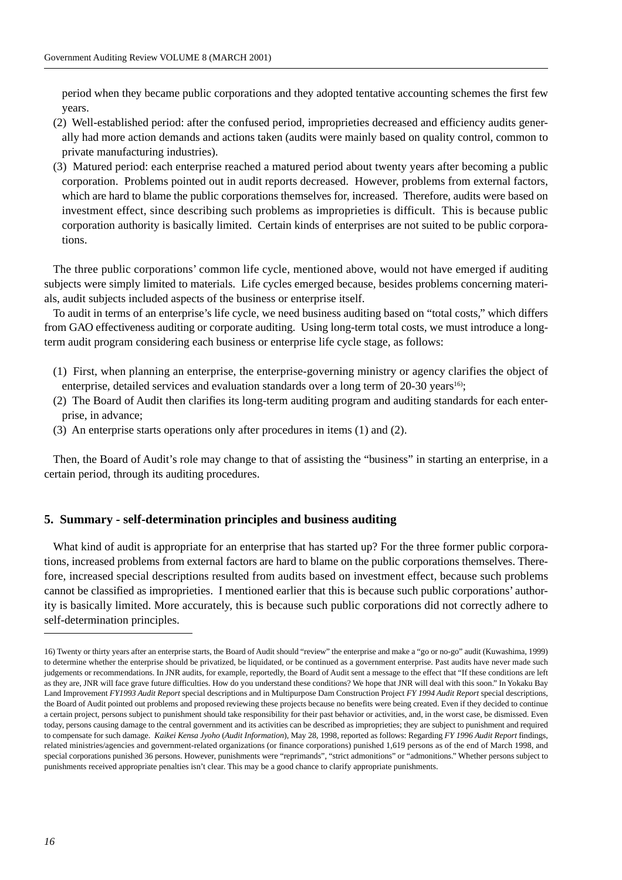period when they became public corporations and they adopted tentative accounting schemes the first few years.

- (2) Well-established period: after the confused period, improprieties decreased and efficiency audits generally had more action demands and actions taken (audits were mainly based on quality control, common to private manufacturing industries).
- (3) Matured period: each enterprise reached a matured period about twenty years after becoming a public corporation. Problems pointed out in audit reports decreased. However, problems from external factors, which are hard to blame the public corporations themselves for, increased. Therefore, audits were based on investment effect, since describing such problems as improprieties is difficult. This is because public corporation authority is basically limited. Certain kinds of enterprises are not suited to be public corporations.

The three public corporations' common life cycle, mentioned above, would not have emerged if auditing subjects were simply limited to materials. Life cycles emerged because, besides problems concerning materials, audit subjects included aspects of the business or enterprise itself.

To audit in terms of an enterprise's life cycle, we need business auditing based on "total costs," which differs from GAO effectiveness auditing or corporate auditing. Using long-term total costs, we must introduce a longterm audit program considering each business or enterprise life cycle stage, as follows:

- (1) First, when planning an enterprise, the enterprise-governing ministry or agency clarifies the object of enterprise, detailed services and evaluation standards over a long term of 20-30 years<sup>16</sup>;
- (2) The Board of Audit then clarifies its long-term auditing program and auditing standards for each enterprise, in advance;
- (3) An enterprise starts operations only after procedures in items (1) and (2).

Then, the Board of Audit's role may change to that of assisting the "business" in starting an enterprise, in a certain period, through its auditing procedures.

## **5. Summary - self-determination principles and business auditing**

What kind of audit is appropriate for an enterprise that has started up? For the three former public corporations, increased problems from external factors are hard to blame on the public corporations themselves. Therefore, increased special descriptions resulted from audits based on investment effect, because such problems cannot be classified as improprieties. I mentioned earlier that this is because such public corporations' authority is basically limited. More accurately, this is because such public corporations did not correctly adhere to self-determination principles.

<sup>16)</sup> Twenty or thirty years after an enterprise starts, the Board of Audit should "review" the enterprise and make a "go or no-go" audit (Kuwashima, 1999) to determine whether the enterprise should be privatized, be liquidated, or be continued as a government enterprise. Past audits have never made such judgements or recommendations. In JNR audits, for example, reportedly, the Board of Audit sent a message to the effect that "If these conditions are left as they are, JNR will face grave future difficulties. How do you understand these conditions? We hope that JNR will deal with this soon." In Yokaku Bay Land Improvement *FY1993 Audit Report* special descriptions and in Multipurpose Dam Construction Project *FY 1994 Audit Report* special descriptions, the Board of Audit pointed out problems and proposed reviewing these projects because no benefits were being created. Even if they decided to continue a certain project, persons subject to punishment should take responsibility for their past behavior or activities, and, in the worst case, be dismissed. Even today, persons causing damage to the central government and its activities can be described as improprieties; they are subject to punishment and required to compensate for such damage. *Kaikei Kensa Jyoho* (*Audit Information*), May 28, 1998, reported as follows: Regarding *FY 1996 Audit Report* findings, related ministries/agencies and government-related organizations (or finance corporations) punished 1,619 persons as of the end of March 1998, and special corporations punished 36 persons. However, punishments were "reprimands", "strict admonitions" or "admonitions." Whether persons subject to punishments received appropriate penalties isn't clear. This may be a good chance to clarify appropriate punishments.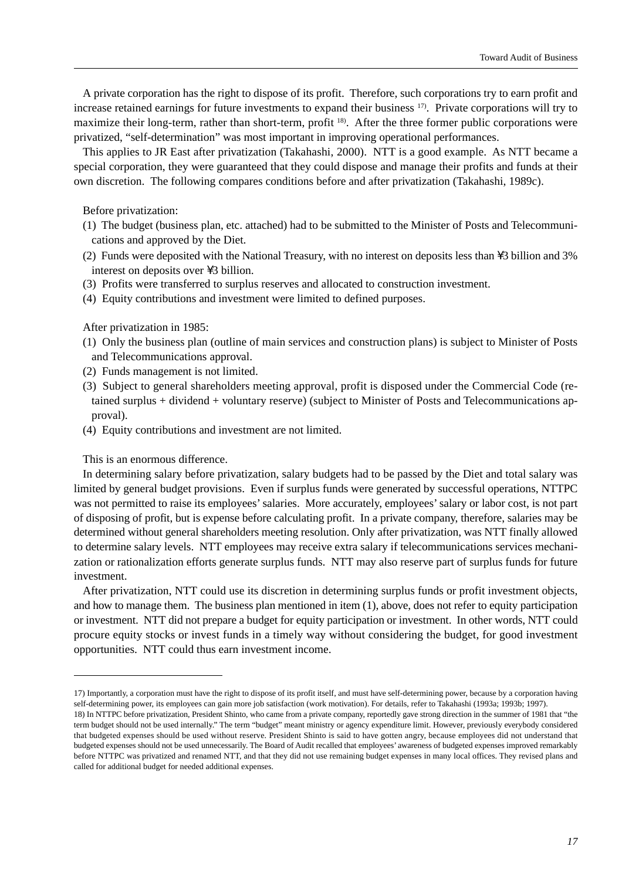A private corporation has the right to dispose of its profit. Therefore, such corporations try to earn profit and increase retained earnings for future investments to expand their business 17). Private corporations will try to maximize their long-term, rather than short-term, profit 18). After the three former public corporations were privatized, "self-determination" was most important in improving operational performances.

This applies to JR East after privatization (Takahashi, 2000). NTT is a good example. As NTT became a special corporation, they were guaranteed that they could dispose and manage their profits and funds at their own discretion. The following compares conditions before and after privatization (Takahashi, 1989c).

Before privatization:

- (1) The budget (business plan, etc. attached) had to be submitted to the Minister of Posts and Telecommunications and approved by the Diet.
- (2) Funds were deposited with the National Treasury, with no interest on deposits less than  $\setminus$ 3 billion and 3% interest on deposits over  $\setminus$ 3 billion.
- (3) Profits were transferred to surplus reserves and allocated to construction investment.
- (4) Equity contributions and investment were limited to defined purposes.

After privatization in 1985:

- (1) Only the business plan (outline of main services and construction plans) is subject to Minister of Posts and Telecommunications approval.
- (2) Funds management is not limited.
- (3) Subject to general shareholders meeting approval, profit is disposed under the Commercial Code (retained surplus + dividend + voluntary reserve) (subject to Minister of Posts and Telecommunications approval).
- (4) Equity contributions and investment are not limited.

This is an enormous difference.

In determining salary before privatization, salary budgets had to be passed by the Diet and total salary was limited by general budget provisions. Even if surplus funds were generated by successful operations, NTTPC was not permitted to raise its employees' salaries. More accurately, employees' salary or labor cost, is not part of disposing of profit, but is expense before calculating profit. In a private company, therefore, salaries may be determined without general shareholders meeting resolution. Only after privatization, was NTT finally allowed to determine salary levels. NTT employees may receive extra salary if telecommunications services mechanization or rationalization efforts generate surplus funds. NTT may also reserve part of surplus funds for future investment.

After privatization, NTT could use its discretion in determining surplus funds or profit investment objects, and how to manage them. The business plan mentioned in item (1), above, does not refer to equity participation or investment. NTT did not prepare a budget for equity participation or investment. In other words, NTT could procure equity stocks or invest funds in a timely way without considering the budget, for good investment opportunities. NTT could thus earn investment income.

<sup>17)</sup> Importantly, a corporation must have the right to dispose of its profit itself, and must have self-determining power, because by a corporation having self-determining power, its employees can gain more job satisfaction (work motivation). For details, refer to Takahashi (1993a; 1993b; 1997).

<sup>18)</sup> In NTTPC before privatization, President Shinto, who came from a private company, reportedly gave strong direction in the summer of 1981 that "the term budget should not be used internally." The term "budget" meant ministry or agency expenditure limit. However, previously everybody considered that budgeted expenses should be used without reserve. President Shinto is said to have gotten angry, because employees did not understand that budgeted expenses should not be used unnecessarily. The Board of Audit recalled that employees' awareness of budgeted expenses improved remarkably before NTTPC was privatized and renamed NTT, and that they did not use remaining budget expenses in many local offices. They revised plans and called for additional budget for needed additional expenses.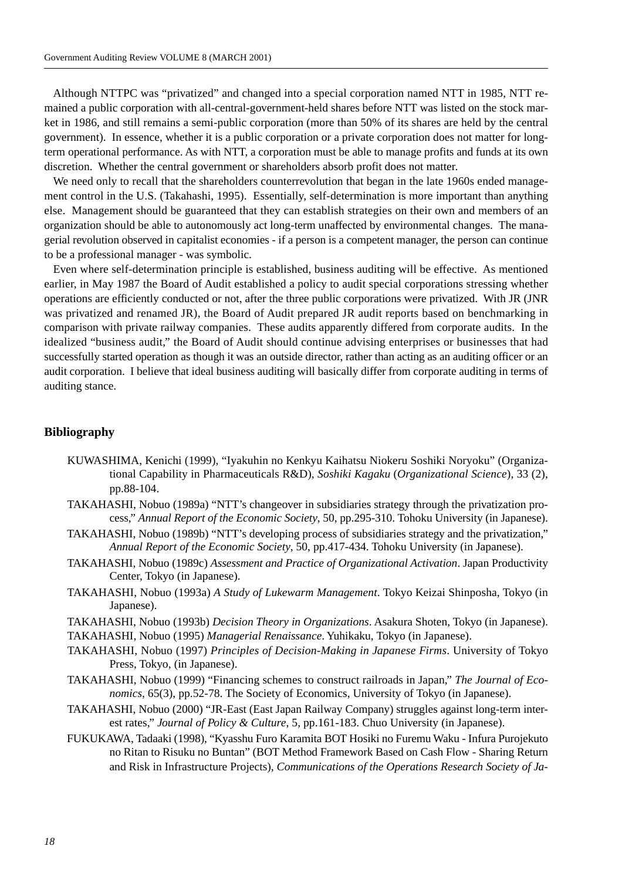Although NTTPC was "privatized" and changed into a special corporation named NTT in 1985, NTT remained a public corporation with all-central-government-held shares before NTT was listed on the stock market in 1986, and still remains a semi-public corporation (more than 50% of its shares are held by the central government). In essence, whether it is a public corporation or a private corporation does not matter for longterm operational performance. As with NTT, a corporation must be able to manage profits and funds at its own discretion. Whether the central government or shareholders absorb profit does not matter.

We need only to recall that the shareholders counterrevolution that began in the late 1960s ended management control in the U.S. (Takahashi, 1995). Essentially, self-determination is more important than anything else. Management should be guaranteed that they can establish strategies on their own and members of an organization should be able to autonomously act long-term unaffected by environmental changes. The managerial revolution observed in capitalist economies - if a person is a competent manager, the person can continue to be a professional manager - was symbolic.

Even where self-determination principle is established, business auditing will be effective. As mentioned earlier, in May 1987 the Board of Audit established a policy to audit special corporations stressing whether operations are efficiently conducted or not, after the three public corporations were privatized. With JR (JNR was privatized and renamed JR), the Board of Audit prepared JR audit reports based on benchmarking in comparison with private railway companies. These audits apparently differed from corporate audits. In the idealized "business audit," the Board of Audit should continue advising enterprises or businesses that had successfully started operation as though it was an outside director, rather than acting as an auditing officer or an audit corporation. I believe that ideal business auditing will basically differ from corporate auditing in terms of auditing stance.

#### **Bibliography**

- KUWASHIMA, Kenichi (1999), "Iyakuhin no Kenkyu Kaihatsu Niokeru Soshiki Noryoku" (Organizational Capability in Pharmaceuticals R&D), *Soshiki Kagaku* (*Organizational Science*), 33 (2), pp.88-104.
- TAKAHASHI, Nobuo (1989a) "NTT's changeover in subsidiaries strategy through the privatization process," *Annual Report of the Economic Society*, 50, pp.295-310. Tohoku University (in Japanese).
- TAKAHASHI, Nobuo (1989b) "NTT's developing process of subsidiaries strategy and the privatization," *Annual Report of the Economic Society*, 50, pp.417-434. Tohoku University (in Japanese).
- TAKAHASHI, Nobuo (1989c) *Assessment and Practice of Organizational Activation*. Japan Productivity Center, Tokyo (in Japanese).
- TAKAHASHI, Nobuo (1993a) *A Study of Lukewarm Management*. Tokyo Keizai Shinposha, Tokyo (in Japanese).
- TAKAHASHI, Nobuo (1993b) *Decision Theory in Organizations*. Asakura Shoten, Tokyo (in Japanese).
- TAKAHASHI, Nobuo (1995) *Managerial Renaissance*. Yuhikaku, Tokyo (in Japanese).
- TAKAHASHI, Nobuo (1997) *Principles of Decision-Making in Japanese Firms*. University of Tokyo Press, Tokyo, (in Japanese).
- TAKAHASHI, Nobuo (1999) "Financing schemes to construct railroads in Japan," *The Journal of Economics*, 65(3), pp.52-78. The Society of Economics, University of Tokyo (in Japanese).
- TAKAHASHI, Nobuo (2000) "JR-East (East Japan Railway Company) struggles against long-term interest rates," *Journal of Policy & Culture*, 5, pp.161-183. Chuo University (in Japanese).
- FUKUKAWA, Tadaaki (1998), "Kyasshu Furo Karamita BOT Hosiki no Furemu Waku Infura Purojekuto no Ritan to Risuku no Buntan" (BOT Method Framework Based on Cash Flow - Sharing Return and Risk in Infrastructure Projects), *Communications of the Operations Research Society of Ja-*